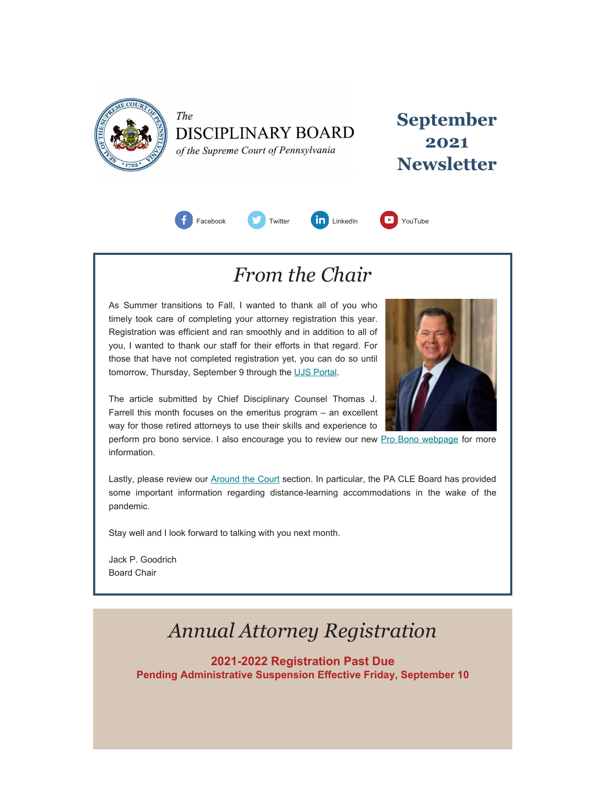<span id="page-0-0"></span>

The **DISCIPLINARY BOARD** of the Supreme Court of Pennsylvania

**September 2021 Newsletter**



### *From the Chair*

As Summer transitions to Fall, I wanted to thank all of you who timely took care of completing your attorney registration this year. Registration was efficient and ran smoothly and in addition to all of you, I wanted to thank our staff for their efforts in that regard. For those that have not completed registration yet, you can do so until tomorrow, Thursday, September 9 through the [UJS Portal.](https://ujsportal.pacourts.us/Secure/AttorneyAnnualRegistration/PendingRegistrations.aspx)



The article submitted by Chief Disciplinary Counsel Thomas J. Farrell this month focuses on the emeritus program – an excellent way for those retired attorneys to use their skills and experience to

perform pro bono service. I also encourage you to review our new [Pro Bono webpage](https://www.padisciplinaryboard.org/for-attorneys/pro-bono) for more information.

Lastly, please review our [Around the Court](#page-0-0) section. In particular, the PA CLE Board has provided some important information regarding distance-learning accommodations in the wake of the pandemic.

Stay well and I look forward to talking with you next month.

Jack P. Goodrich Board Chair

## *Annual Attorney Registration*

**2021-2022 Registration Past Due Pending Administrative Suspension Effective Friday, September 10**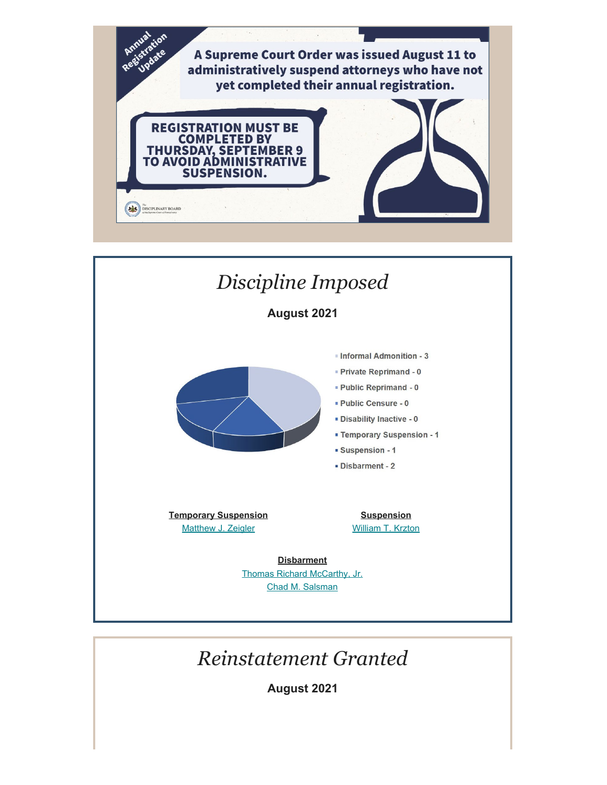

- Disability Inactive 0
- **Example Temporary Suspension 1**
- · Suspension 1
- · Disbarment 2

**Temporary Suspension** [Matthew J. Zeigler](https://www.padisciplinaryboard.org/for-the-public/find-attorney/attorney-detail/83367)

**Suspension** [William T. Krzton](https://www.padisciplinaryboard.org/for-the-public/find-attorney/attorney-detail/22838)

**Disbarment** [Thomas Richard McCarthy, Jr.](https://www.padisciplinaryboard.org/for-the-public/find-attorney/attorney-detail/54632) [Chad M. Salsman](https://www.padisciplinaryboard.org/for-the-public/find-attorney/attorney-detail/87547)

# *Reinstatement Granted*

**August 2021**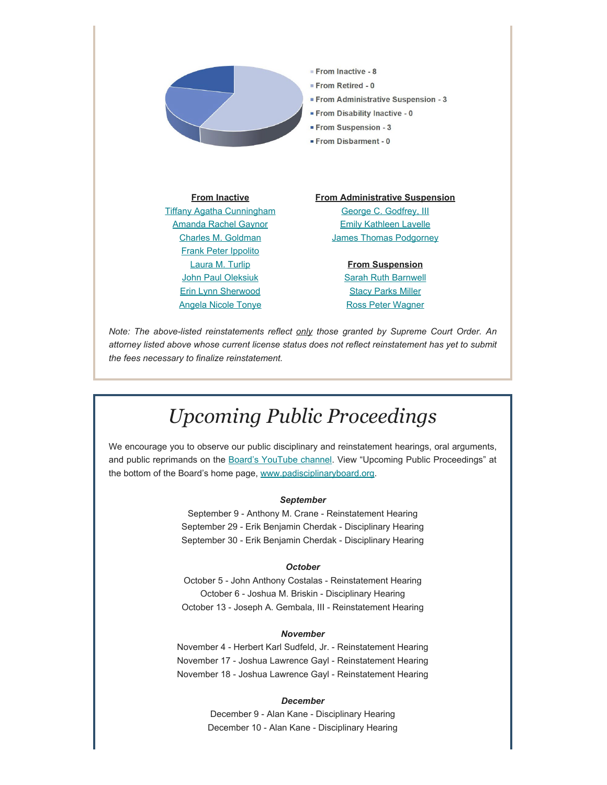

*Note: The above-listed reinstatements reflect only those granted by Supreme Court Order. An attorney listed above whose current license status does not reflect reinstatement has yet to submit the fees necessary to finalize reinstatement.*

### *Upcoming Public Proceedings*

We encourage you to observe our public disciplinary and reinstatement hearings, oral arguments, and public reprimands on the [Board's YouTube channel.](https://www.youtube.com/channel/UC7Rzfgcm91b2y3TRTXAViHw) View "Upcoming Public Proceedings" at the bottom of the Board's home page, [www.padisciplinaryboard.org.](https://www.padisciplinaryboard.org/)

#### *September*

September 9 - Anthony M. Crane - Reinstatement Hearing September 29 - Erik Benjamin Cherdak - Disciplinary Hearing September 30 - Erik Benjamin Cherdak - Disciplinary Hearing

#### *October*

October 5 - John Anthony Costalas - Reinstatement Hearing October 6 - Joshua M. Briskin - Disciplinary Hearing October 13 - Joseph A. Gembala, III - Reinstatement Hearing

#### *November*

November 4 - Herbert Karl Sudfeld, Jr. - Reinstatement Hearing November 17 - Joshua Lawrence Gayl - Reinstatement Hearing November 18 - Joshua Lawrence Gayl - Reinstatement Hearing

#### *December*

December 9 - Alan Kane - Disciplinary Hearing December 10 - Alan Kane - Disciplinary Hearing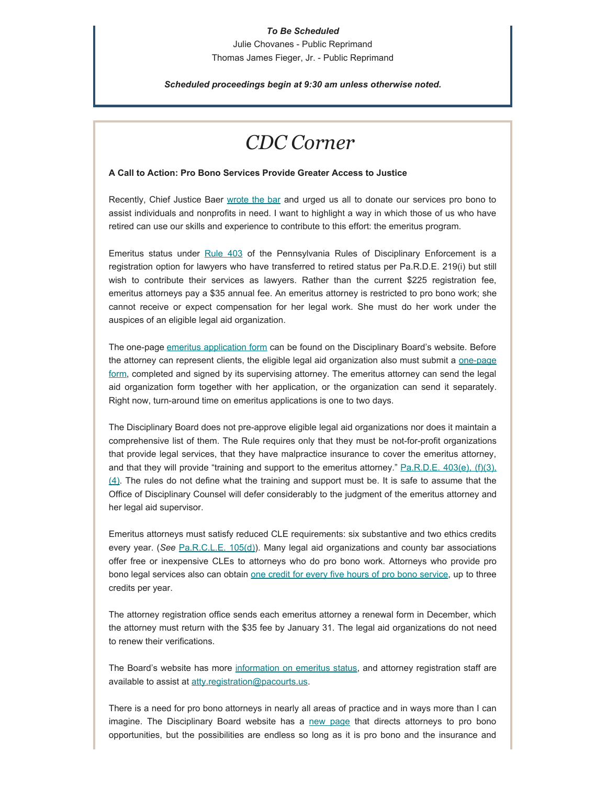#### *To Be Scheduled*

Julie Chovanes - Public Reprimand Thomas James Fieger, Jr. - Public Reprimand

*Scheduled proceedings begin at 9:30 am unless otherwise noted.*

### *CDC Corner*

#### **A Call to Action: Pro Bono Services Provide Greater Access to Justice**

Recently, Chief Justice Baer [wrote the bar](https://www.padisciplinaryboard.org/Storage/media/pdfs/20210504/210334-2021cjprobonoletter.pdf) and urged us all to donate our services pro bono to assist individuals and nonprofits in need. I want to highlight a way in which those of us who have retired can use our skills and experience to contribute to this effort: the emeritus program.

Emeritus status under [Rule 403](https://www.padisciplinaryboard.org/for-attorneys/rules/rule/5/The%20Pennsylvania%20Rules%20of%20Disciplinary%20Enforcement#rule-389) of the Pennsylvania Rules of Disciplinary Enforcement is a registration option for lawyers who have transferred to retired status per Pa.R.D.E. 219(i) but still wish to contribute their services as lawyers. Rather than the current \$225 registration fee, emeritus attorneys pay a \$35 annual fee. An emeritus attorney is restricted to pro bono work; she cannot receive or expect compensation for her legal work. She must do her work under the auspices of an eligible legal aid organization.

The one-page [emeritus application form](http://www.padisciplinaryboard.org/for-attorneys/forms/#EmeritusRegistration) can be found on the Disciplinary Board's website. Before the attorney can represent clients, the eligible legal aid organization also must submit a [one-page](http://www.padisciplinaryboard.org/for-attorneys/forms/#EmeritusRegistration) [form,](http://www.padisciplinaryboard.org/for-attorneys/forms/#EmeritusRegistration) completed and signed by its supervising attorney. The emeritus attorney can send the legal aid organization form together with her application, or the organization can send it separately. Right now, turn-around time on emeritus applications is one to two days.

The Disciplinary Board does not pre-approve eligible legal aid organizations nor does it maintain a comprehensive list of them. The Rule requires only that they must be not-for-profit organizations that provide legal services, that they have malpractice insurance to cover the emeritus attorney, and that they will provide "training and support to the emeritus attorney." [Pa.R.D.E. 403\(e\), \(f\)\(3\),](https://www.padisciplinaryboard.org/for-attorneys/rules/rule/5/the-pennsylvania-rules-of-disciplinary-enforcement#rule-389)  $(4)$ . The rules do not define what the training and support must be. It is safe to assume that the Office of Disciplinary Counsel will defer considerably to the judgment of the emeritus attorney and her legal aid supervisor.

Emeritus attorneys must satisfy reduced CLE requirements: six substantive and two ethics credits every year. (*See* [Pa.R.C.L.E. 105\(d\)](https://www.pacle.org/rules-and-regulations#rule_105)). Many legal aid organizations and county bar associations offer free or inexpensive CLEs to attorneys who do pro bono work. Attorneys who provide pro bono legal services also can obtain [one credit for every five hours of pro bono service](https://www.pacle.org/providers/pro-bono), up to three credits per year.

The attorney registration office sends each emeritus attorney a renewal form in December, which the attorney must return with the \$35 fee by January 31. The legal aid organizations do not need to renew their verifications.

The Board's website has more [information on emeritus status](https://www.padisciplinaryboard.org/for-attorneys/resources#Emeritus), and attorney registration staff are available to assist at [atty.registration@pacourts.us](mailto:atty.registration@pacourts.us).

There is a need for pro bono attorneys in nearly all areas of practice and in ways more than I can imagine. The Disciplinary Board website has a [new page](https://www.padisciplinaryboard.org/for-attorneys/pro-bono) that directs attorneys to pro bono opportunities, but the possibilities are endless so long as it is pro bono and the insurance and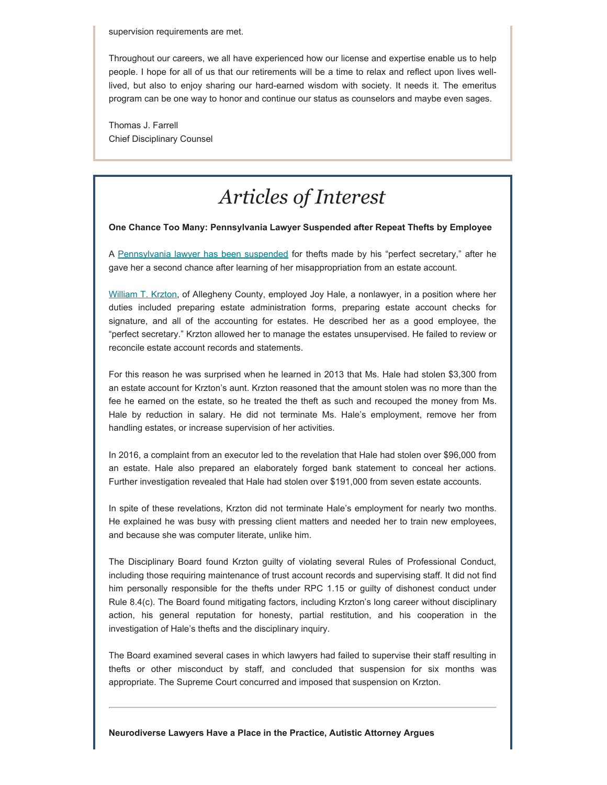supervision requirements are met.

Throughout our careers, we all have experienced how our license and expertise enable us to help people. I hope for all of us that our retirements will be a time to relax and reflect upon lives welllived, but also to enjoy sharing our hard-earned wisdom with society. It needs it. The emeritus program can be one way to honor and continue our status as counselors and maybe even sages.

Thomas J. Farrell Chief Disciplinary Counsel

# *Articles of Interest*

**One Chance Too Many: Pennsylvania Lawyer Suspended after Repeat Thefts by Employee**

A [Pennsylvania lawyer has been suspended](https://www.abajournal.com/news/article/lawyer-who-gave-perfect-secretary-a-second-chance-after-theft-is-suspended-after-misjudging-her) for thefts made by his "perfect secretary," after he gave her a second chance after learning of her misappropriation from an estate account.

[William T. Krzton](https://www.pacourts.us/assets/opinions/DisciplinaryBoard/out/86DB2020-Krzton.pdf), of Allegheny County, employed Joy Hale, a nonlawyer, in a position where her duties included preparing estate administration forms, preparing estate account checks for signature, and all of the accounting for estates. He described her as a good employee, the "perfect secretary." Krzton allowed her to manage the estates unsupervised. He failed to review or reconcile estate account records and statements.

For this reason he was surprised when he learned in 2013 that Ms. Hale had stolen \$3,300 from an estate account for Krzton's aunt. Krzton reasoned that the amount stolen was no more than the fee he earned on the estate, so he treated the theft as such and recouped the money from Ms. Hale by reduction in salary. He did not terminate Ms. Hale's employment, remove her from handling estates, or increase supervision of her activities.

In 2016, a complaint from an executor led to the revelation that Hale had stolen over \$96,000 from an estate. Hale also prepared an elaborately forged bank statement to conceal her actions. Further investigation revealed that Hale had stolen over \$191,000 from seven estate accounts.

In spite of these revelations, Krzton did not terminate Hale's employment for nearly two months. He explained he was busy with pressing client matters and needed her to train new employees, and because she was computer literate, unlike him.

The Disciplinary Board found Krzton guilty of violating several Rules of Professional Conduct, including those requiring maintenance of trust account records and supervising staff. It did not find him personally responsible for the thefts under RPC 1.15 or guilty of dishonest conduct under Rule 8.4(c). The Board found mitigating factors, including Krzton's long career without disciplinary action, his general reputation for honesty, partial restitution, and his cooperation in the investigation of Hale's thefts and the disciplinary inquiry.

The Board examined several cases in which lawyers had failed to supervise their staff resulting in thefts or other misconduct by staff, and concluded that suspension for six months was appropriate. The Supreme Court concurred and imposed that suspension on Krzton.

**Neurodiverse Lawyers Have a Place in the Practice, Autistic Attorney Argues**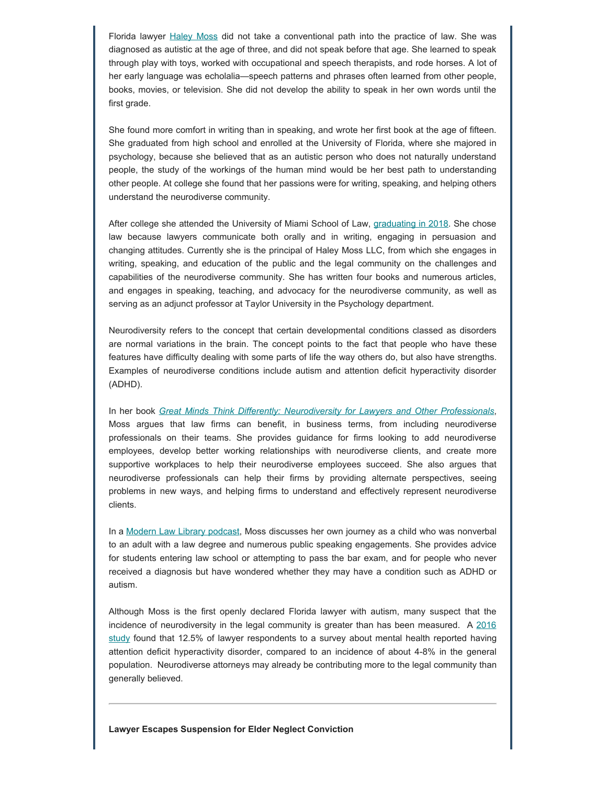Florida lawyer **[Haley Moss](https://haleymoss.co/) did not take a conventional path** into the practice of law. She was diagnosed as autistic at the age of three, and did not speak before that age. She learned to speak through play with toys, worked with occupational and speech therapists, and rode horses. A lot of her early language was echolalia—speech patterns and phrases often learned from other people, books, movies, or television. She did not develop the ability to speak in her own words until the first grade.

She found more comfort in writing than in speaking, and wrote her first book at the age of fifteen. She graduated from high school and enrolled at the University of Florida, where she majored in psychology, because she believed that as an autistic person who does not naturally understand people, the study of the workings of the human mind would be her best path to understanding other people. At college she found that her passions were for writing, speaking, and helping others understand the neurodiverse community.

After college she attended the University of Miami School of Law, [graduating in 2018](https://www.abajournal.com/magazine/article/finding-my-voice). She chose law because lawyers communicate both orally and in writing, engaging in persuasion and changing attitudes. Currently she is the principal of Haley Moss LLC, from which she engages in writing, speaking, and education of the public and the legal community on the challenges and capabilities of the neurodiverse community. She has written four books and numerous articles, and engages in speaking, teaching, and advocacy for the neurodiverse community, as well as serving as an adjunct professor at Taylor University in the Psychology department.

Neurodiversity refers to the concept that certain developmental conditions classed as disorders are normal variations in the brain. The concept points to the fact that people who have these features have difficulty dealing with some parts of life the way others do, but also have strengths. Examples of neurodiverse conditions include autism and attention deficit hyperactivity disorder (ADHD).

In her book *[Great Minds Think Differently: Neurodiversity for Lawyers and Other Professionals](https://haleymoss.co/publications/)*, Moss argues that law firms can benefit, in business terms, from including neurodiverse professionals on their teams. She provides guidance for firms looking to add neurodiverse employees, develop better working relationships with neurodiverse clients, and create more supportive workplaces to help their neurodiverse employees succeed. She also argues that neurodiverse professionals can help their firms by providing alternate perspectives, seeing problems in new ways, and helping firms to understand and effectively represent neurodiverse clients.

In a [Modern Law Library podcast](https://legaltalknetwork.com/podcasts/aba-journal-modern-law-library/2021/08/how-neurodiverse-lawyers-can-thrive-in-the-profession-and-change-it-for-the-better/), Moss discusses her own journey as a child who was nonverbal to an adult with a law degree and numerous public speaking engagements. She provides advice for students entering law school or attempting to pass the bar exam, and for people who never received a diagnosis but have wondered whether they may have a condition such as ADHD or autism.

Although Moss is the first openly declared Florida lawyer with autism, many suspect that the incidence of neurodiversity in the legal community is greater than has been measured. A  $2016$ [study](https://journals.lww.com/journaladdictionmedicine/Fulltext/2016/02000/The_Prevalence_of_Substance_Use_and_Other_Mental.8.aspx) found that 12.5% of lawyer respondents to a survey about mental health reported having attention deficit hyperactivity disorder, compared to an incidence of about 4-8% in the general population. Neurodiverse attorneys may already be contributing more to the legal community than generally believed.

**Lawyer Escapes Suspension for Elder Neglect Conviction**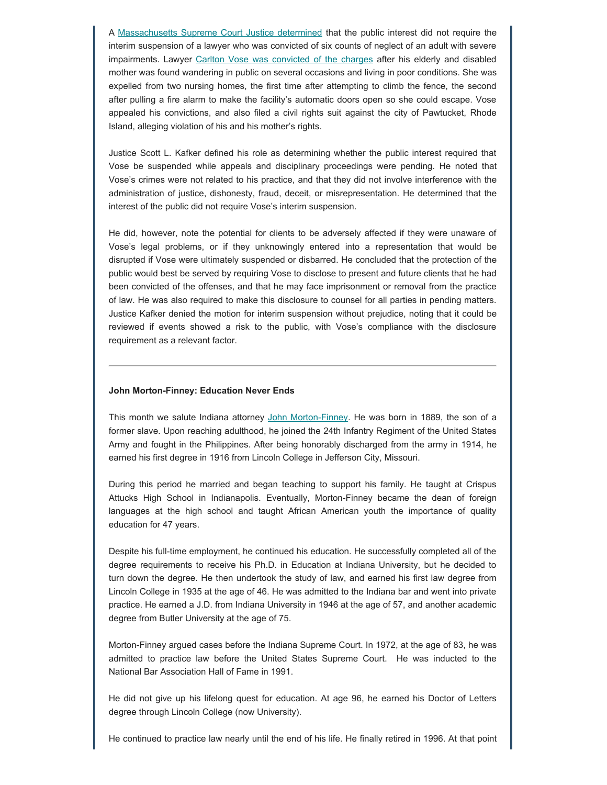A [Massachusetts Supreme Court Justice determined](https://bbopublic.blob.core.windows.net/web/f/BD2020-031.pdf) that the public interest did not require the interim suspension of a lawyer who was convicted of six counts of neglect of an adult with severe impairments. Lawyer [Carlton Vose was convicted of the charges](https://www.abajournal.com/news/article/lawyer-escapes-interim-suspension-after-conviction-stemming-from-impaired-mothers-wandering) after his elderly and disabled mother was found wandering in public on several occasions and living in poor conditions. She was expelled from two nursing homes, the first time after attempting to climb the fence, the second after pulling a fire alarm to make the facility's automatic doors open so she could escape. Vose appealed his convictions, and also filed a civil rights suit against the city of Pawtucket, Rhode Island, alleging violation of his and his mother's rights.

Justice Scott L. Kafker defined his role as determining whether the public interest required that Vose be suspended while appeals and disciplinary proceedings were pending. He noted that Vose's crimes were not related to his practice, and that they did not involve interference with the administration of justice, dishonesty, fraud, deceit, or misrepresentation. He determined that the interest of the public did not require Vose's interim suspension.

He did, however, note the potential for clients to be adversely affected if they were unaware of Vose's legal problems, or if they unknowingly entered into a representation that would be disrupted if Vose were ultimately suspended or disbarred. He concluded that the protection of the public would best be served by requiring Vose to disclose to present and future clients that he had been convicted of the offenses, and that he may face imprisonment or removal from the practice of law. He was also required to make this disclosure to counsel for all parties in pending matters. Justice Kafker denied the motion for interim suspension without prejudice, noting that it could be reviewed if events showed a risk to the public, with Vose's compliance with the disclosure requirement as a relevant factor.

#### **John Morton-Finney: Education Never Ends**

This month we salute Indiana attorney [John Morton-Finney](https://www.blackpast.org/african-american-history/john-morton-finney-1889-1998/). He was born in 1889, the son of a former slave. Upon reaching adulthood, he joined the 24th Infantry Regiment of the United States Army and fought in the Philippines. After being honorably discharged from the army in 1914, he earned his first degree in 1916 from Lincoln College in Jefferson City, Missouri.

During this period he married and began teaching to support his family. He taught at Crispus Attucks High School in Indianapolis. Eventually, Morton-Finney became the dean of foreign languages at the high school and taught African American youth the importance of quality education for 47 years.

Despite his full-time employment, he continued his education. He successfully completed all of the degree requirements to receive his Ph.D. in Education at Indiana University, but he decided to turn down the degree. He then undertook the study of law, and earned his first law degree from Lincoln College in 1935 at the age of 46. He was admitted to the Indiana bar and went into private practice. He earned a J.D. from Indiana University in 1946 at the age of 57, and another academic degree from Butler University at the age of 75.

Morton-Finney argued cases before the Indiana Supreme Court. In 1972, at the age of 83, he was admitted to practice law before the United States Supreme Court. He was inducted to the National Bar Association Hall of Fame in 1991.

He did not give up his lifelong quest for education. At age 96, he earned his Doctor of Letters degree through Lincoln College (now University).

He continued to practice law nearly until the end of his life. He finally retired in 1996. At that point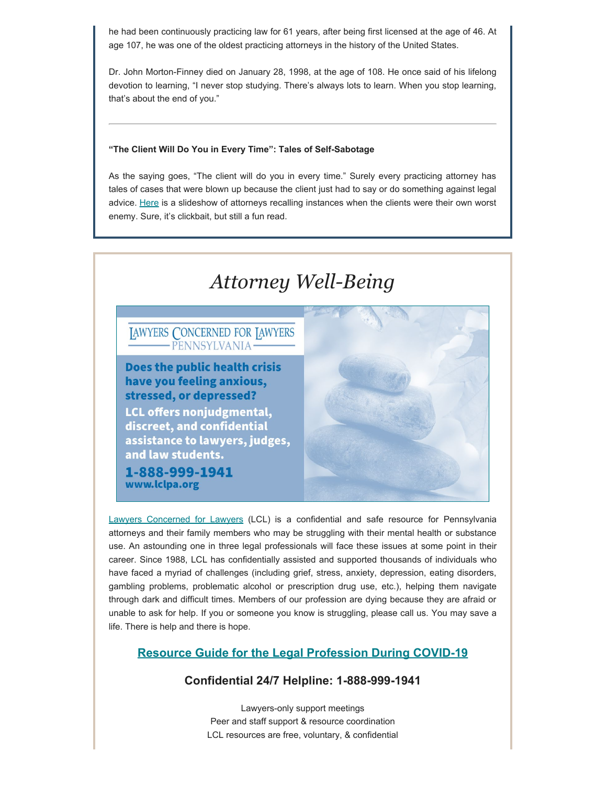he had been continuously practicing law for 61 years, after being first licensed at the age of 46. At age 107, he was one of the oldest practicing attorneys in the history of the United States.

Dr. John Morton-Finney died on January 28, 1998, at the age of 108. He once said of his lifelong devotion to learning, "I never stop studying. There's always lots to learn. When you stop learning, that's about the end of you."

#### **"The Client Will Do You in Every Time": Tales of Self-Sabotage**

As the saying goes, "The client will do you in every time." Surely every practicing attorney has tales of cases that were blown up because the client just had to say or do something against legal advice. [Here](https://www.thedaddest.com/trending/lawyers-legal-fails-fb/?fbclid=IwAR3DQ_HBhW9ru2_8MnsTb7R50bm-YIAkg7JoAMu-fPH8i_qyG5E-iu5sQAE) is a slideshow of attorneys recalling instances when the clients were their own worst enemy. Sure, it's clickbait, but still a fun read.



[Lawyers Concerned for Lawyers](https://www.lclpa.org/) (LCL) is a confidential and safe resource for Pennsylvania attorneys and their family members who may be struggling with their mental health or substance use. An astounding one in three legal professionals will face these issues at some point in their career. Since 1988, LCL has confidentially assisted and supported thousands of individuals who have faced a myriad of challenges (including grief, stress, anxiety, depression, eating disorders, gambling problems, problematic alcohol or prescription drug use, etc.), helping them navigate through dark and difficult times. Members of our profession are dying because they are afraid or unable to ask for help. If you or someone you know is struggling, please call us. You may save a life. There is help and there is hope.

### **Resource Guide [for the Legal Profession During COVID-19](https://www.lclpa.org/wp-content/uploads/2021/07/LCL-PA-COVID-Resource-Guide-Update-AUGUST-2021-1.pdf)**

### **Confidential 24/7 Helpline: 1-888-999-1941**

Lawyers-only support meetings Peer and staff support & resource coordination LCL resources are free, voluntary, & confidential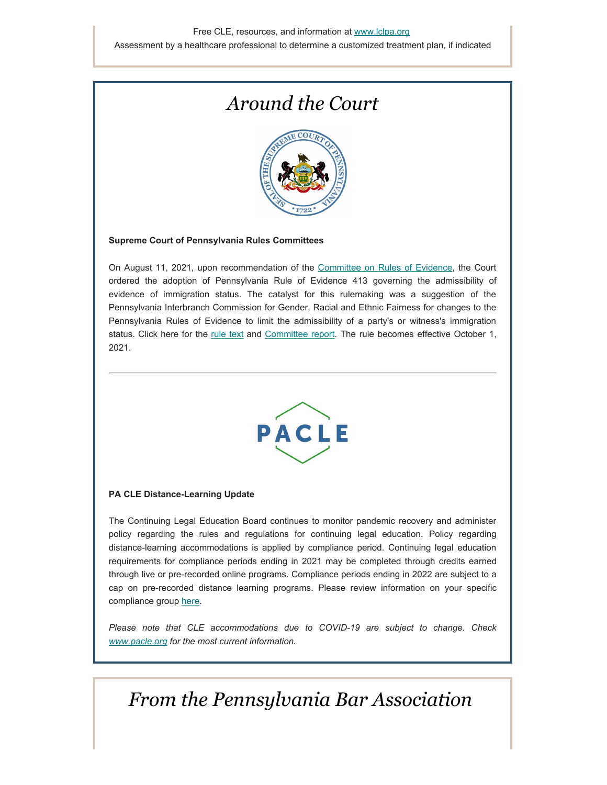# *Around the Court*



#### **Supreme Court of Pennsylvania Rules Committees**

On August 11, 2021, upon recommendation of the [Committee on Rules of Evidence](https://www.pacourts.us/courts/supreme-court/committees/rules-committees/committee-on-rules-of-evidence#:~:text=The%20Committee%20on%20Rules%20of,evidence%20law%20in%20the%20Commonwealth.), the Court ordered the adoption of Pennsylvania Rule of Evidence 413 governing the admissibility of evidence of immigration status. The catalyst for this rulemaking was a suggestion of the Pennsylvania Interbranch Commission for Gender, Racial and Ethnic Fairness for changes to the Pennsylvania Rules of Evidence to limit the admissibility of a party's or witness's immigration status. Click here for the [rule text](https://www.pacourts.us/Storage/media/pdfs/20210813/154112-ruleofevidence413isadopted.pdf) and [Committee report](https://www.pacourts.us/Storage/media/pdfs/20210813/154251-report-aug.11,2021.pdf). The rule becomes effective October 1, 2021.



#### **PA CLE Distance-Learning Update**

The Continuing Legal Education Board continues to monitor pandemic recovery and administer policy regarding the rules and regulations for continuing legal education. Policy regarding distance-learning accommodations is applied by compliance period. Continuing legal education requirements for compliance periods ending in 2021 may be completed through credits earned through live or pre-recorded online programs. Compliance periods ending in 2022 are subject to a cap on pre-recorded distance learning programs. Please review information on your specific compliance group [here](https://www.pacle.org/assets/pdfs/pacle-update-covid.pdf).

*Please note that CLE accommodations due to COVID-19 are subject to change. Check [www.pacle.org](http://www.pacle.org/) for the most current information.*

### *From the Pennsylvania Bar Association*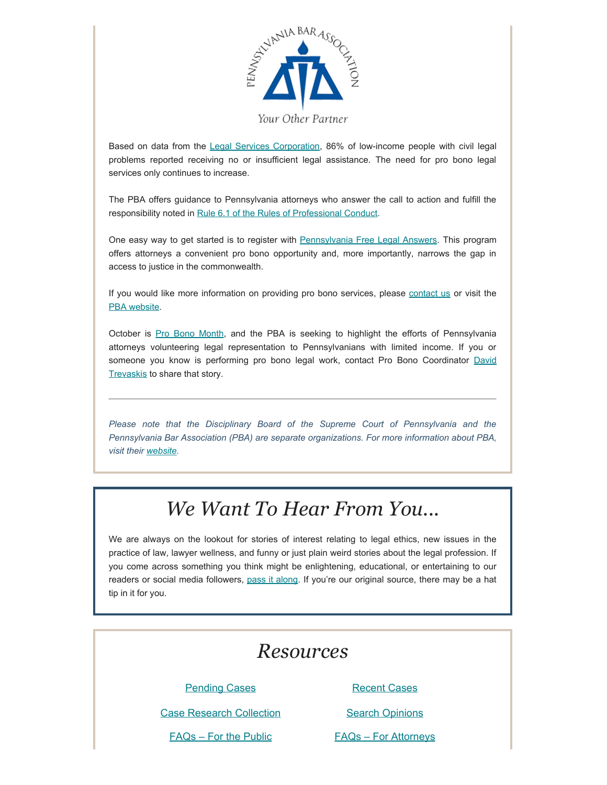

Based on data from the [Legal Services Corporation](https://www.lsc.gov/), 86% of low-income people with civil legal problems reported receiving no or insufficient legal assistance. The need for pro bono legal services only continues to increase.

The PBA offers guidance to Pennsylvania attorneys who answer the call to action and fulfill the responsibility noted in [Rule 6.1 of the Rules of Professional Conduct](https://www.padisciplinaryboard.org/for-attorneys/rules/rule/3/the-rules-of-professional-conduct#rule-188).

One easy way to get started is to register with [Pennsylvania Free Legal Answers.](https://www.pabar.org/site/For-Lawyers/Pro-Bono-Services/Pennsylvania-Free-Legal-Answers) This program offers attorneys a convenient pro bono opportunity and, more importantly, narrows the gap in access to justice in the commonwealth.

If you would like more information on providing pro bono services, please [contact us](https://www.pabar.org/site/About-PBA/Contact-the-PBA) or visit the [PBA website.](https://www.pabar.org/site/)

October is [Pro Bono Month](https://www.pabar.org/site/For-Lawyers/Pro-Bono-Services/Pro-Bono-Month), and the PBA is seeking to highlight the efforts of Pennsylvania attorneys volunteering legal representation to Pennsylvanians with limited income. If you or someone you know is performing pro bono legal work, contact Pro Bono Coordinator [David](mailto:David.Trevaskis@pabar.org) [Trevaskis](mailto:David.Trevaskis@pabar.org) to share that story.

*Please note that the Disciplinary Board of the Supreme Court of Pennsylvania and the Pennsylvania Bar Association (PBA) are separate organizations. For more information about PBA, visit their [website](https://www.pabar.org/site/).*

## *We Want To Hear From You...*

We are always on the lookout for stories of interest relating to legal ethics, new issues in the practice of law, lawyer wellness, and funny or just plain weird stories about the legal profession. If you come across something you think might be enlightening, educational, or entertaining to our readers or social media followers, [pass it along](mailto:dboard.news@pacourts.us). If you're our original source, there may be a hat tip in it for you.

### *Resources*

**[Pending Cases](https://www.padisciplinaryboard.org/cases/pending-cases)** [Recent Cases](https://www.padisciplinaryboard.org/cases/recent-cases)

[Case Research Collection](https://www.padisciplinaryboard.org/cases/case-research-collection) [Search Opinions](https://www.padisciplinaryboard.org/cases/opinions)

[FAQs – For the Public](https://www.padisciplinaryboard.org/for-the-public/resources) [FAQs – For Attorneys](https://www.padisciplinaryboard.org/for-attorneys/resources)